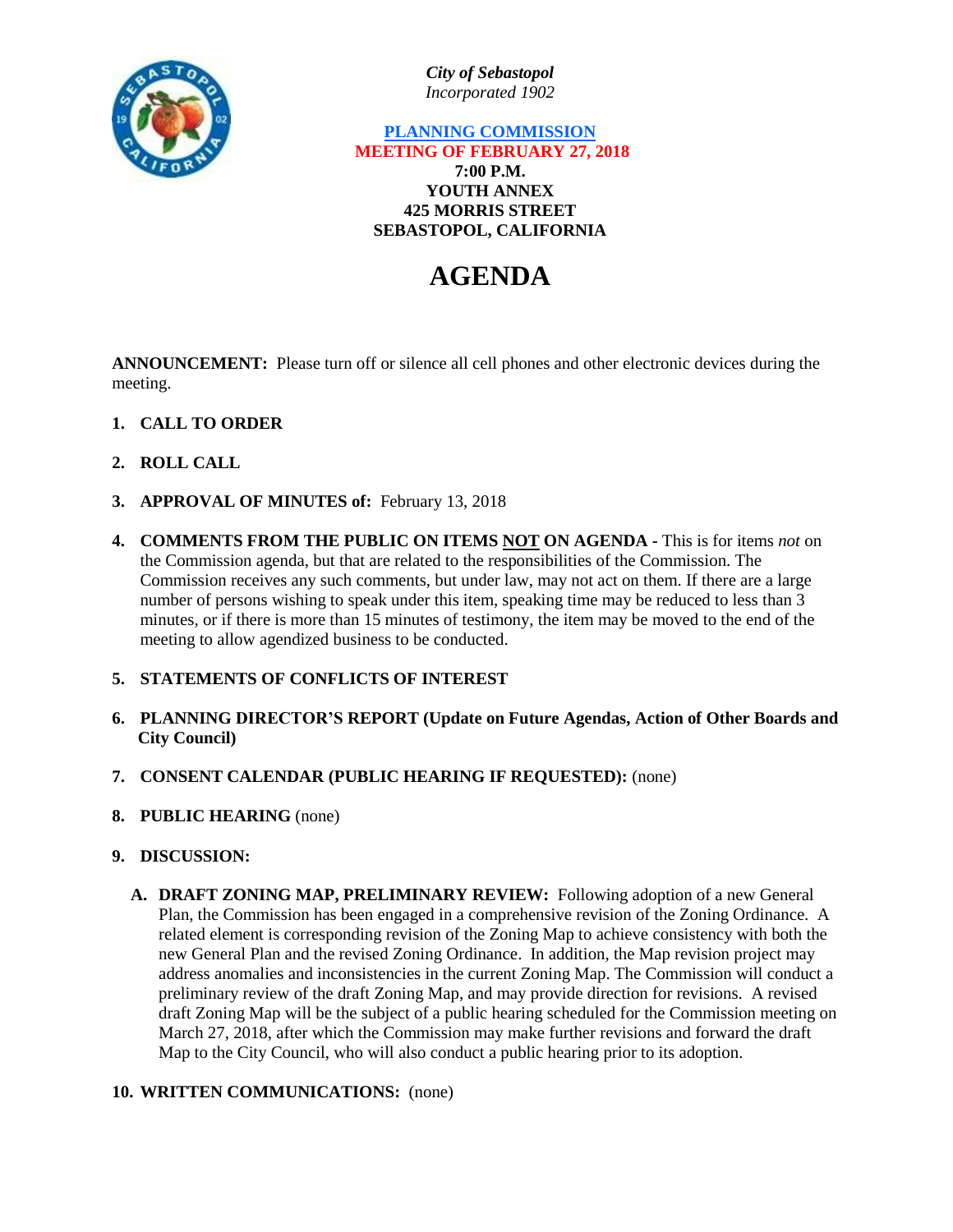

*City of Sebastopol Incorporated 1902*

# **PLANNING COMMISSION MEETING OF FEBRUARY 27, 2018 7:00 P.M. YOUTH ANNEX 425 MORRIS STREET SEBASTOPOL, CALIFORNIA**

# **AGENDA**

**ANNOUNCEMENT:** Please turn off or silence all cell phones and other electronic devices during the meeting.

- **1. CALL TO ORDER**
- **2. ROLL CALL**
- **3. APPROVAL OF MINUTES of:** February 13, 2018
- **4. COMMENTS FROM THE PUBLIC ON ITEMS NOT ON AGENDA -** This is for items *not* on the Commission agenda, but that are related to the responsibilities of the Commission. The Commission receives any such comments, but under law, may not act on them. If there are a large number of persons wishing to speak under this item, speaking time may be reduced to less than 3 minutes, or if there is more than 15 minutes of testimony, the item may be moved to the end of the meeting to allow agendized business to be conducted.

# **5. STATEMENTS OF CONFLICTS OF INTEREST**

- **6. PLANNING DIRECTOR'S REPORT (Update on Future Agendas, Action of Other Boards and City Council)**
- **7. CONSENT CALENDAR (PUBLIC HEARING IF REQUESTED):** (none)
- **8. PUBLIC HEARING** (none)
- **9. DISCUSSION:**
	- **A. DRAFT ZONING MAP, PRELIMINARY REVIEW:** Following adoption of a new General Plan, the Commission has been engaged in a comprehensive revision of the Zoning Ordinance. A related element is corresponding revision of the Zoning Map to achieve consistency with both the new General Plan and the revised Zoning Ordinance. In addition, the Map revision project may address anomalies and inconsistencies in the current Zoning Map. The Commission will conduct a preliminary review of the draft Zoning Map, and may provide direction for revisions. A revised draft Zoning Map will be the subject of a public hearing scheduled for the Commission meeting on March 27, 2018, after which the Commission may make further revisions and forward the draft Map to the City Council, who will also conduct a public hearing prior to its adoption.

#### **10. WRITTEN COMMUNICATIONS:** (none)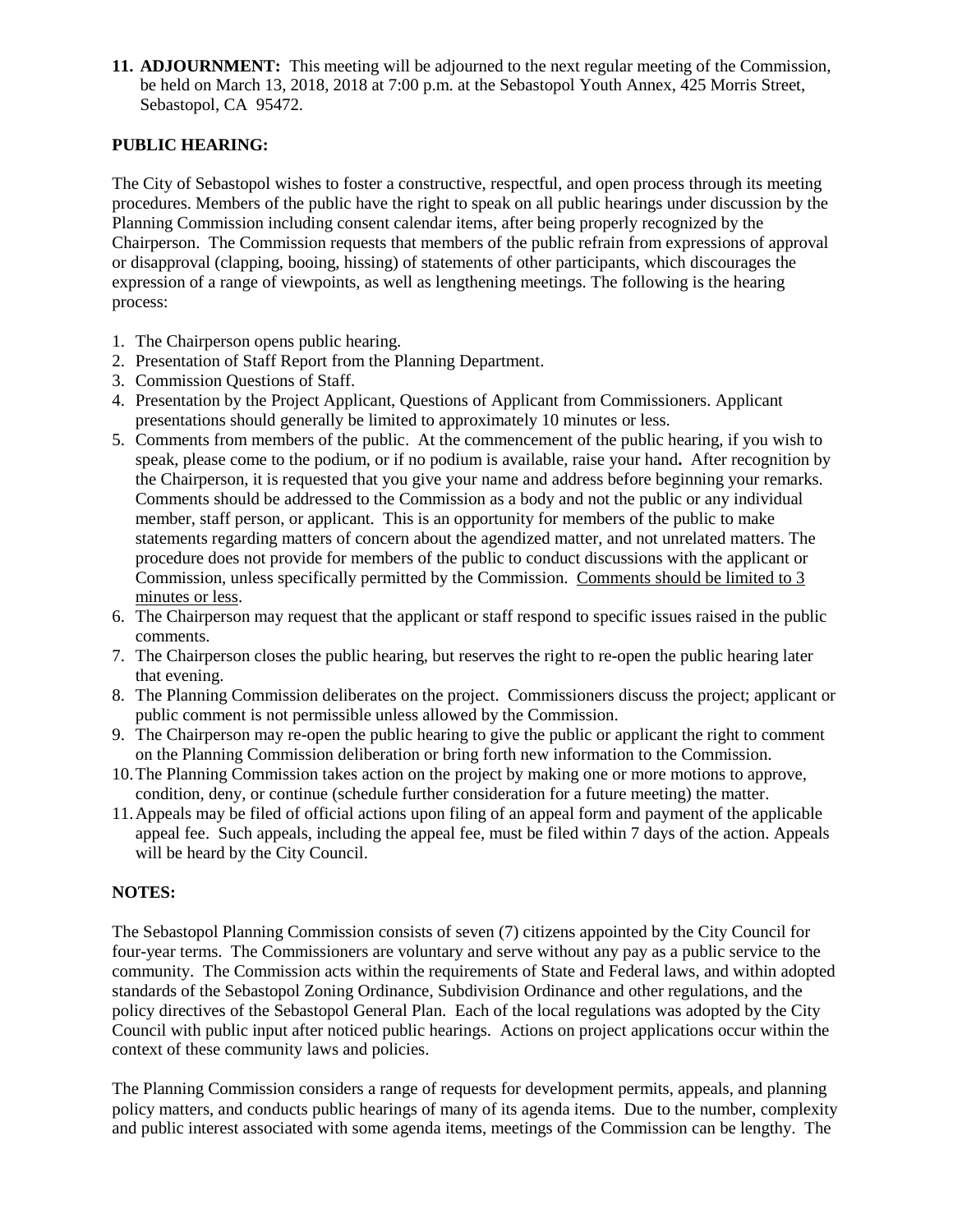**11. ADJOURNMENT:** This meeting will be adjourned to the next regular meeting of the Commission, be held on March 13, 2018, 2018 at 7:00 p.m. at the Sebastopol Youth Annex, 425 Morris Street, Sebastopol, CA 95472.

## **PUBLIC HEARING:**

The City of Sebastopol wishes to foster a constructive, respectful, and open process through its meeting procedures. Members of the public have the right to speak on all public hearings under discussion by the Planning Commission including consent calendar items, after being properly recognized by the Chairperson. The Commission requests that members of the public refrain from expressions of approval or disapproval (clapping, booing, hissing) of statements of other participants, which discourages the expression of a range of viewpoints, as well as lengthening meetings. The following is the hearing process:

- 1. The Chairperson opens public hearing.
- 2. Presentation of Staff Report from the Planning Department.
- 3. Commission Questions of Staff.
- 4. Presentation by the Project Applicant, Questions of Applicant from Commissioners. Applicant presentations should generally be limited to approximately 10 minutes or less.
- 5. Comments from members of the public. At the commencement of the public hearing, if you wish to speak, please come to the podium, or if no podium is available, raise your hand**.** After recognition by the Chairperson, it is requested that you give your name and address before beginning your remarks. Comments should be addressed to the Commission as a body and not the public or any individual member, staff person, or applicant. This is an opportunity for members of the public to make statements regarding matters of concern about the agendized matter, and not unrelated matters. The procedure does not provide for members of the public to conduct discussions with the applicant or Commission, unless specifically permitted by the Commission. Comments should be limited to 3 minutes or less.
- 6. The Chairperson may request that the applicant or staff respond to specific issues raised in the public comments.
- 7. The Chairperson closes the public hearing, but reserves the right to re-open the public hearing later that evening.
- 8. The Planning Commission deliberates on the project. Commissioners discuss the project; applicant or public comment is not permissible unless allowed by the Commission.
- 9. The Chairperson may re-open the public hearing to give the public or applicant the right to comment on the Planning Commission deliberation or bring forth new information to the Commission.
- 10.The Planning Commission takes action on the project by making one or more motions to approve, condition, deny, or continue (schedule further consideration for a future meeting) the matter.
- 11.Appeals may be filed of official actions upon filing of an appeal form and payment of the applicable appeal fee. Such appeals, including the appeal fee, must be filed within 7 days of the action. Appeals will be heard by the City Council.

#### **NOTES:**

The Sebastopol Planning Commission consists of seven (7) citizens appointed by the City Council for four-year terms. The Commissioners are voluntary and serve without any pay as a public service to the community. The Commission acts within the requirements of State and Federal laws, and within adopted standards of the Sebastopol Zoning Ordinance, Subdivision Ordinance and other regulations, and the policy directives of the Sebastopol General Plan. Each of the local regulations was adopted by the City Council with public input after noticed public hearings. Actions on project applications occur within the context of these community laws and policies.

The Planning Commission considers a range of requests for development permits, appeals, and planning policy matters, and conducts public hearings of many of its agenda items. Due to the number, complexity and public interest associated with some agenda items, meetings of the Commission can be lengthy. The